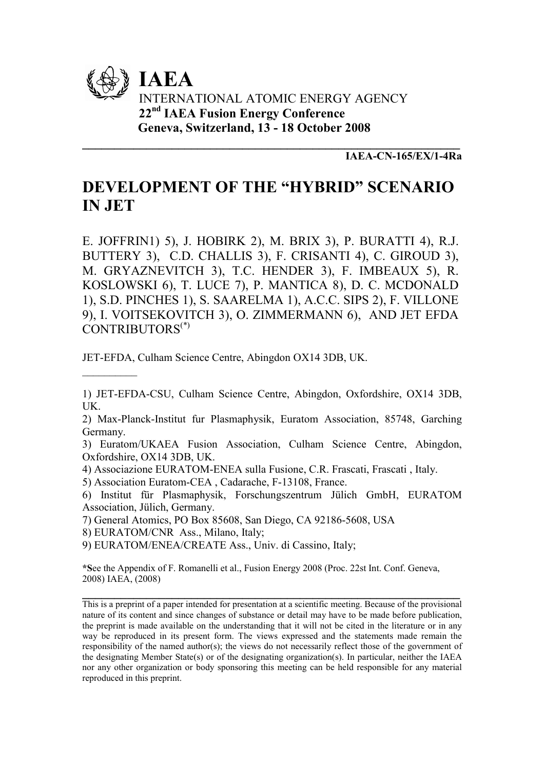

IAEA-CN-165/EX/1-4Ra

# DEVELOPMENT OF THE "HYBRID" SCENARIO IN JET

\_\_\_\_\_\_\_\_\_\_\_\_\_\_\_\_\_\_\_\_\_\_\_\_\_\_\_\_\_\_\_\_\_\_\_\_\_\_\_\_\_\_\_\_\_\_\_\_\_\_\_\_\_\_\_\_\_\_\_

E. JOFFRIN1) 5), J. HOBIRK 2), M. BRIX 3), P. BURATTI 4), R.J. BUTTERY 3), C.D. CHALLIS 3), F. CRISANTI 4), C. GIROUD 3), M. GRYAZNEVITCH 3), T.C. HENDER 3), F. IMBEAUX 5), R. KOSLOWSKI 6), T. LUCE 7), P. MANTICA 8), D. C. MCDONALD 1), S.D. PINCHES 1), S. SAARELMA 1), A.C.C. SIPS 2), F. VILLONE 9), I. VOITSEKOVITCH 3), O. ZIMMERMANN 6), AND JET EFDA CONTRIBUTORS(\*)

JET-EFDA, Culham Science Centre, Abingdon OX14 3DB, UK.

2) Max-Planck-Institut fur Plasmaphysik, Euratom Association, 85748, Garching Germany.

3) Euratom/UKAEA Fusion Association, Culham Science Centre, Abingdon, Oxfordshire, OX14 3DB, UK.

4) Associazione EURATOM-ENEA sulla Fusione, C.R. Frascati, Frascati , Italy.

5) Association Euratom-CEA , Cadarache, F-13108, France.

6) Institut für Plasmaphysik, Forschungszentrum Jülich GmbH, EURATOM Association, Jülich, Germany.

7) General Atomics, PO Box 85608, San Diego, CA 92186-5608, USA

8) EURATOM/CNR Ass., Milano, Italy;

 $\frac{1}{2}$ 

9) EURATOM/ENEA/CREATE Ass., Univ. di Cassino, Italy;

\*See the Appendix of F. Romanelli et al., Fusion Energy 2008 (Proc. 22st Int. Conf. Geneva, 2008) IAEA, (2008)

This is a preprint of a paper intended for presentation at a scientific meeting. Because of the provisional nature of its content and since changes of substance or detail may have to be made before publication, the preprint is made available on the understanding that it will not be cited in the literature or in any way be reproduced in its present form. The views expressed and the statements made remain the responsibility of the named author(s); the views do not necessarily reflect those of the government of the designating Member State(s) or of the designating organization(s). In particular, neither the IAEA nor any other organization or body sponsoring this meeting can be held responsible for any material reproduced in this preprint.

 $\overline{\phantom{a}}$  , and the contribution of the contribution of the contribution of the contribution of the contribution of the contribution of the contribution of the contribution of the contribution of the contribution of the

<sup>1)</sup> JET-EFDA-CSU, Culham Science Centre, Abingdon, Oxfordshire, OX14 3DB, UK.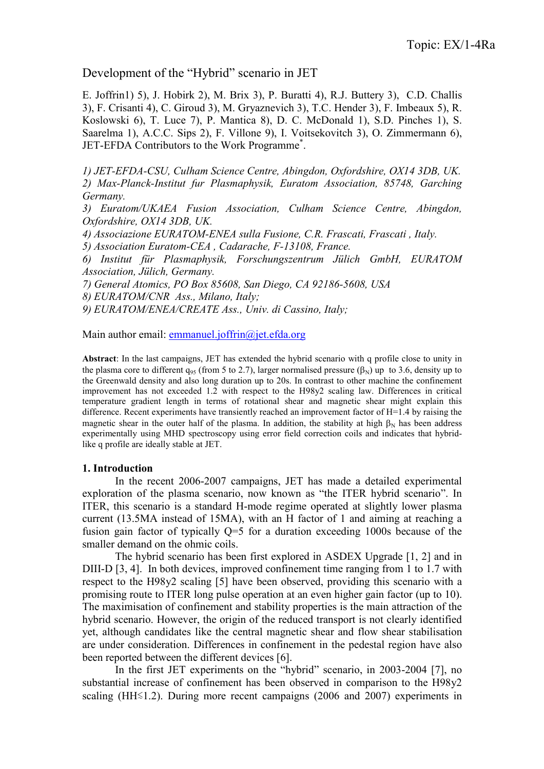## Development of the "Hybrid" scenario in JET

E. Joffrin1) 5), J. Hobirk 2), M. Brix 3), P. Buratti 4), R.J. Buttery 3), C.D. Challis 3), F. Crisanti 4), C. Giroud 3), M. Gryaznevich 3), T.C. Hender 3), F. Imbeaux 5), R. Koslowski 6), T. Luce 7), P. Mantica 8), D. C. McDonald 1), S.D. Pinches 1), S. Saarelma 1), A.C.C. Sips 2), F. Villone 9), I. Voitsekovitch 3), O. Zimmermann 6), JET-EFDA Contributors to the Work Programme\* .

1) JET-EFDA-CSU, Culham Science Centre, Abingdon, Oxfordshire, OX14 3DB, UK. 2) Max-Planck-Institut fur Plasmaphysik, Euratom Association, 85748, Garching Germany.

3) Euratom/UKAEA Fusion Association, Culham Science Centre, Abingdon, Oxfordshire, OX14 3DB, UK.

4) Associazione EURATOM-ENEA sulla Fusione, C.R. Frascati, Frascati , Italy.

5) Association Euratom-CEA , Cadarache, F-13108, France.

6) Institut für Plasmaphysik, Forschungszentrum Jülich GmbH, EURATOM Association, Jülich, Germany.

7) General Atomics, PO Box 85608, San Diego, CA 92186-5608, USA

8) EURATOM/CNR Ass., Milano, Italy;

9) EURATOM/ENEA/CREATE Ass., Univ. di Cassino, Italy;

Main author email: emmanuel.joffrin@jet.efda.org

Abstract: In the last campaigns, JET has extended the hybrid scenario with q profile close to unity in the plasma core to different  $q_{95}$  (from 5 to 2.7), larger normalised pressure ( $\beta_N$ ) up to 3.6, density up to the Greenwald density and also long duration up to 20s. In contrast to other machine the confinement improvement has not exceeded 1.2 with respect to the H98y2 scaling law. Differences in critical temperature gradient length in terms of rotational shear and magnetic shear might explain this difference. Recent experiments have transiently reached an improvement factor of H=1.4 by raising the magnetic shear in the outer half of the plasma. In addition, the stability at high  $B_N$  has been address experimentally using MHD spectroscopy using error field correction coils and indicates that hybridlike q profile are ideally stable at JET.

#### 1. Introduction

In the recent 2006-2007 campaigns, JET has made a detailed experimental exploration of the plasma scenario, now known as "the ITER hybrid scenario". In ITER, this scenario is a standard H-mode regime operated at slightly lower plasma current (13.5MA instead of 15MA), with an H factor of 1 and aiming at reaching a fusion gain factor of typically Q=5 for a duration exceeding 1000s because of the smaller demand on the ohmic coils.

The hybrid scenario has been first explored in ASDEX Upgrade [1, 2] and in DIII-D [3, 4]. In both devices, improved confinement time ranging from 1 to 1.7 with respect to the H98y2 scaling [5] have been observed, providing this scenario with a promising route to ITER long pulse operation at an even higher gain factor (up to 10). The maximisation of confinement and stability properties is the main attraction of the hybrid scenario. However, the origin of the reduced transport is not clearly identified yet, although candidates like the central magnetic shear and flow shear stabilisation are under consideration. Differences in confinement in the pedestal region have also been reported between the different devices [6].

In the first JET experiments on the "hybrid" scenario, in 2003-2004 [7], no substantial increase of confinement has been observed in comparison to the H98y2 scaling (HH≤1.2). During more recent campaigns (2006 and 2007) experiments in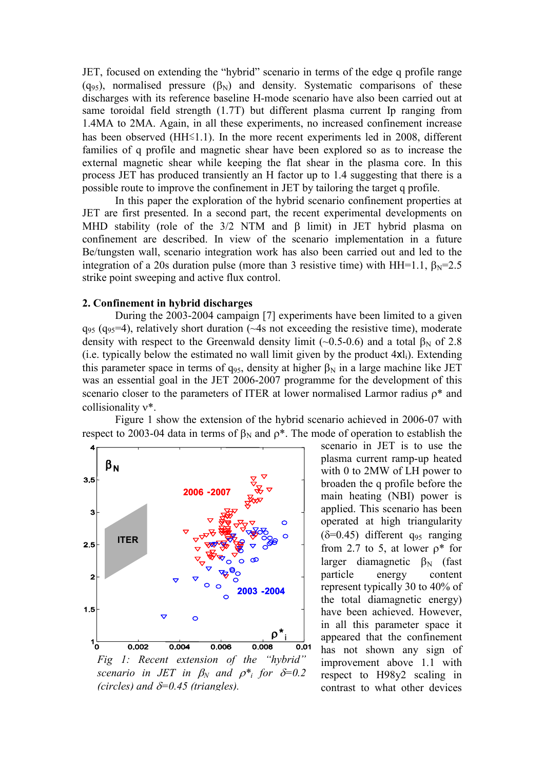JET, focused on extending the "hybrid" scenario in terms of the edge q profile range (q<sub>95</sub>), normalised pressure ( $\beta_N$ ) and density. Systematic comparisons of these discharges with its reference baseline H-mode scenario have also been carried out at same toroidal field strength (1.7T) but different plasma current Ip ranging from 1.4MA to 2MA. Again, in all these experiments, no increased confinement increase has been observed (HH≲1.1). In the more recent experiments led in 2008, different families of q profile and magnetic shear have been explored so as to increase the external magnetic shear while keeping the flat shear in the plasma core. In this process JET has produced transiently an H factor up to 1.4 suggesting that there is a possible route to improve the confinement in JET by tailoring the target q profile.

In this paper the exploration of the hybrid scenario confinement properties at JET are first presented. In a second part, the recent experimental developments on MHD stability (role of the  $3/2$  NTM and  $\beta$  limit) in JET hybrid plasma on confinement are described. In view of the scenario implementation in a future Be/tungsten wall, scenario integration work has also been carried out and led to the integration of a 20s duration pulse (more than 3 resistive time) with HH=1.1,  $\beta_N$ =2.5 strike point sweeping and active flux control.

#### 2. Confinement in hybrid discharges

During the 2003-2004 campaign [7] experiments have been limited to a given  $q_{95}$  ( $q_{95}$ =4), relatively short duration ( $\sim$ 4s not exceeding the resistive time), moderate density with respect to the Greenwald density limit (~0.5-0.6) and a total  $\beta_N$  of 2.8 (i.e. typically below the estimated no wall limit given by the product  $4xI_i$ ). Extending this parameter space in terms of  $q_{95}$ , density at higher  $\beta_N$  in a large machine like JET was an essential goal in the JET 2006-2007 programme for the development of this scenario closer to the parameters of ITER at lower normalised Larmor radius  $\rho^*$  and collisionality ν\*.

Figure 1 show the extension of the hybrid scenario achieved in 2006-07 with respect to 2003-04 data in terms of  $β_N$  and  $ρ^*$ . The mode of operation to establish the



Fig 1: Recent extension of the "hybrid" scenario in JET in  $\beta_N$  and  $\rho^*$  for  $\delta=0.2$ (circles) and  $\delta = 0.45$  (triangles).

scenario in JET is to use the plasma current ramp-up heated with 0 to 2MW of LH power to broaden the q profile before the main heating (NBI) power is applied. This scenario has been operated at high triangularity  $(\delta=0.45)$  different q<sub>95</sub> ranging from 2.7 to 5, at lower  $\rho^*$  for larger diamagnetic  $β<sub>N</sub>$  (fast<br>particle energy content energy content represent typically 30 to 40% of the total diamagnetic energy) have been achieved. However, in all this parameter space it appeared that the confinement has not shown any sign of improvement above 1.1 with respect to H98y2 scaling in contrast to what other devices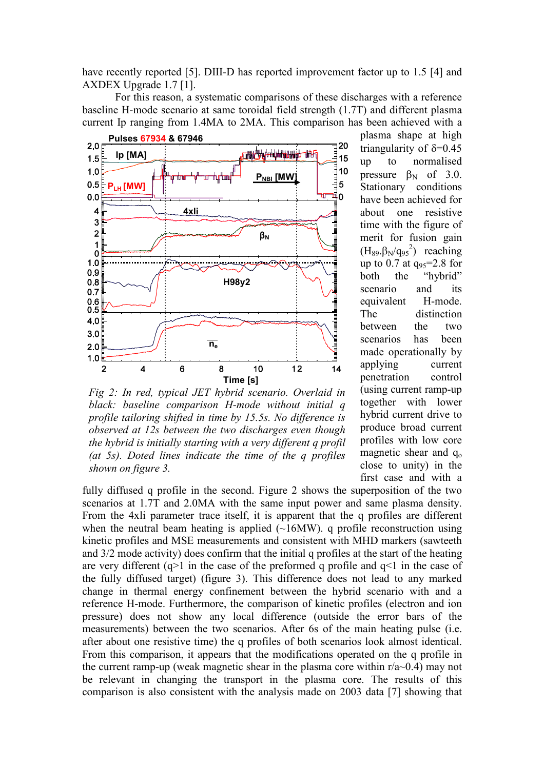have recently reported [5]. DIII-D has reported improvement factor up to 1.5 [4] and AXDEX Upgrade 1.7 [1].

For this reason, a systematic comparisons of these discharges with a reference baseline H-mode scenario at same toroidal field strength (1.7T) and different plasma current Ip ranging from 1.4MA to 2MA. This comparison has been achieved with a



Fig 2: In red, typical JET hybrid scenario. Overlaid in black: baseline comparison H-mode without initial q profile tailoring shifted in time by 15.5s. No difference is observed at 12s between the two discharges even though the hybrid is initially starting with a very different q profil (at  $5s$ ). Doted lines indicate the time of the q profiles shown on figure 3.

plasma shape at high triangularity of  $\delta = 0.45$ up to normalised pressure  $\beta_N$  of 3.0. Stationary conditions have been achieved for about one resistive time with the figure of merit for fusion gain  $(H_{89}. \beta_{N}/q_{95}^2)$  reaching up to 0.7 at  $q_{95}=2.8$  for<br>both the "hybrid" the "hybrid" scenario and its equivalent H-mode. The distinction between the two scenarios has been made operationally by applying current penetration control (using current ramp-up together with lower hybrid current drive to produce broad current profiles with low core magnetic shear and  $q_0$ close to unity) in the first case and with a

fully diffused q profile in the second. Figure 2 shows the superposition of the two scenarios at 1.7T and 2.0MA with the same input power and same plasma density. From the 4xli parameter trace itself, it is apparent that the q profiles are different when the neutral beam heating is applied  $(\sim16MW)$ . q profile reconstruction using kinetic profiles and MSE measurements and consistent with MHD markers (sawteeth and 3/2 mode activity) does confirm that the initial q profiles at the start of the heating are very different  $(q>1)$  in the case of the preformed q profile and  $q<1$  in the case of the fully diffused target) (figure 3). This difference does not lead to any marked change in thermal energy confinement between the hybrid scenario with and a reference H-mode. Furthermore, the comparison of kinetic profiles (electron and ion pressure) does not show any local difference (outside the error bars of the measurements) between the two scenarios. After 6s of the main heating pulse (i.e. after about one resistive time) the q profiles of both scenarios look almost identical. From this comparison, it appears that the modifications operated on the q profile in the current ramp-up (weak magnetic shear in the plasma core within  $r/a \sim 0.4$ ) may not be relevant in changing the transport in the plasma core. The results of this comparison is also consistent with the analysis made on 2003 data [7] showing that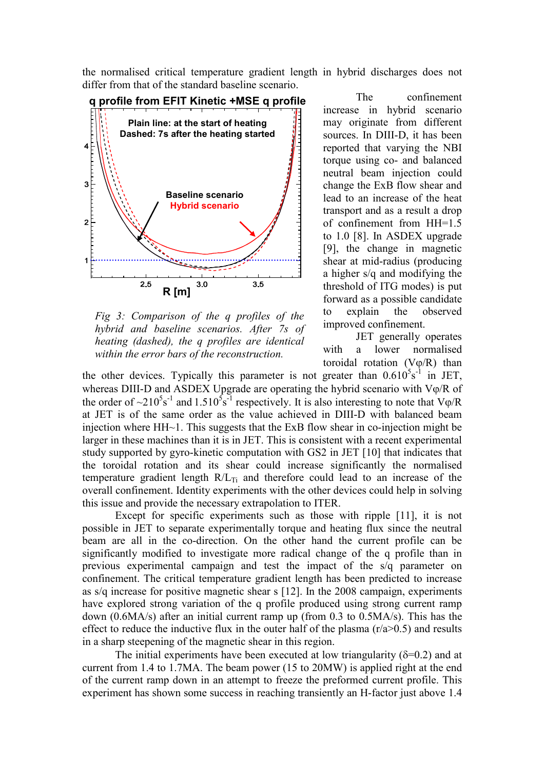the normalised critical temperature gradient length in hybrid discharges does not differ from that of the standard baseline scenario.



Fig 3: Comparison of the q profiles of the hybrid and baseline scenarios. After 7s of heating (dashed), the q profiles are identical within the error bars of the reconstruction.

 The confinement increase in hybrid scenario may originate from different sources. In DIII-D, it has been reported that varying the NBI torque using co- and balanced neutral beam injection could change the ExB flow shear and lead to an increase of the heat transport and as a result a drop of confinement from HH=1.5 to 1.0 [8]. In ASDEX upgrade [9], the change in magnetic shear at mid-radius (producing a higher s/q and modifying the threshold of ITG modes) is put forward as a possible candidate to explain the observed improved confinement.

JET generally operates with a lower normalised toroidal rotation  $(V\varphi/R)$  than

the other devices. Typically this parameter is not greater than  $0.610^{5} s^{-1}$  in JET, whereas DIII-D and ASDEX Upgrade are operating the hybrid scenario with  $V\varphi/R$  of the order of  $\sim$ 210<sup>5</sup>s<sup>-1</sup> and 1.510<sup>5</sup>s<sup>-1</sup> respectively. It is also interesting to note that V $\varphi/R$ at JET is of the same order as the value achieved in DIII-D with balanced beam injection where  $HH<sub>1</sub>$ . This suggests that the ExB flow shear in co-injection might be larger in these machines than it is in JET. This is consistent with a recent experimental study supported by gyro-kinetic computation with GS2 in JET [10] that indicates that the toroidal rotation and its shear could increase significantly the normalised temperature gradient length  $R/L_{Ti}$  and therefore could lead to an increase of the overall confinement. Identity experiments with the other devices could help in solving this issue and provide the necessary extrapolation to ITER.

Except for specific experiments such as those with ripple [11], it is not possible in JET to separate experimentally torque and heating flux since the neutral beam are all in the co-direction. On the other hand the current profile can be significantly modified to investigate more radical change of the q profile than in previous experimental campaign and test the impact of the s/q parameter on confinement. The critical temperature gradient length has been predicted to increase as s/q increase for positive magnetic shear s [12]. In the 2008 campaign, experiments have explored strong variation of the q profile produced using strong current ramp down (0.6MA/s) after an initial current ramp up (from 0.3 to 0.5MA/s). This has the effect to reduce the inductive flux in the outer half of the plasma  $(r/a>0.5)$  and results in a sharp steepening of the magnetic shear in this region.

The initial experiments have been executed at low triangularity ( $\delta$ =0.2) and at current from 1.4 to 1.7MA. The beam power (15 to 20MW) is applied right at the end of the current ramp down in an attempt to freeze the preformed current profile. This experiment has shown some success in reaching transiently an H-factor just above 1.4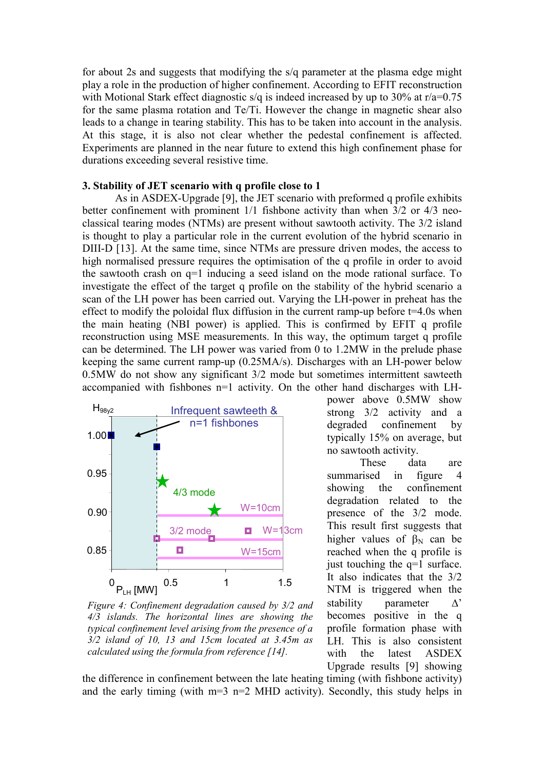for about 2s and suggests that modifying the s/q parameter at the plasma edge might play a role in the production of higher confinement. According to EFIT reconstruction with Motional Stark effect diagnostic s/q is indeed increased by up to 30% at  $r/a=0.75$ for the same plasma rotation and Te/Ti. However the change in magnetic shear also leads to a change in tearing stability. This has to be taken into account in the analysis. At this stage, it is also not clear whether the pedestal confinement is affected. Experiments are planned in the near future to extend this high confinement phase for durations exceeding several resistive time.

## 3. Stability of JET scenario with q profile close to 1

As in ASDEX-Upgrade [9], the JET scenario with preformed q profile exhibits better confinement with prominent 1/1 fishbone activity than when 3/2 or 4/3 neoclassical tearing modes (NTMs) are present without sawtooth activity. The 3/2 island is thought to play a particular role in the current evolution of the hybrid scenario in DIII-D [13]. At the same time, since NTMs are pressure driven modes, the access to high normalised pressure requires the optimisation of the q profile in order to avoid the sawtooth crash on q=1 inducing a seed island on the mode rational surface. To investigate the effect of the target q profile on the stability of the hybrid scenario a scan of the LH power has been carried out. Varying the LH-power in preheat has the effect to modify the poloidal flux diffusion in the current ramp-up before  $t=4.0$ s when the main heating (NBI power) is applied. This is confirmed by EFIT q profile reconstruction using MSE measurements. In this way, the optimum target q profile can be determined. The LH power was varied from 0 to 1.2MW in the prelude phase keeping the same current ramp-up (0.25MA/s). Discharges with an LH-power below 0.5MW do not show any significant 3/2 mode but sometimes intermittent sawteeth accompanied with fishbones n=1 activity. On the other hand discharges with LH-



Figure 4: Confinement degradation caused by 3/2 and 4/3 islands. The horizontal lines are showing the typical confinement level arising from the presence of a 3/2 island of 10, 13 and 15cm located at 3.45m as calculated using the formula from reference [14].

power above 0.5MW show strong 3/2 activity and a degraded confinement by typically 15% on average, but no sawtooth activity.

These data are summarised in figure 4 showing the confinement degradation related to the presence of the 3/2 mode. This result first suggests that higher values of  $\beta_N$  can be reached when the q profile is just touching the q=1 surface. It also indicates that the 3/2 NTM is triggered when the stability parameter ∆' becomes positive in the q profile formation phase with LH. This is also consistent with the latest ASDEX Upgrade results [9] showing

the difference in confinement between the late heating timing (with fishbone activity) and the early timing (with  $m=3$  n=2 MHD activity). Secondly, this study helps in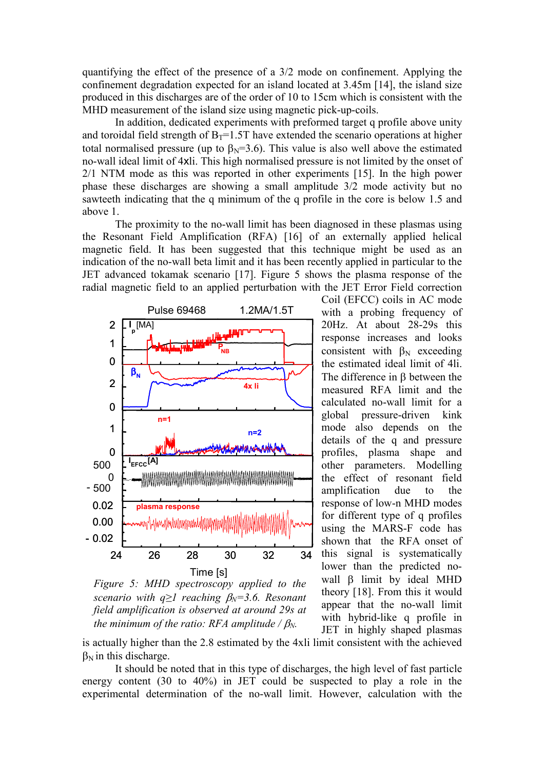quantifying the effect of the presence of a 3/2 mode on confinement. Applying the confinement degradation expected for an island located at 3.45m [14], the island size produced in this discharges are of the order of 10 to 15cm which is consistent with the MHD measurement of the island size using magnetic pick-up-coils.

In addition, dedicated experiments with preformed target q profile above unity and toroidal field strength of  $B_T=1.5T$  have extended the scenario operations at higher total normalised pressure (up to  $\beta_N = 3.6$ ). This value is also well above the estimated no-wall ideal limit of 4xli. This high normalised pressure is not limited by the onset of 2/1 NTM mode as this was reported in other experiments [15]. In the high power phase these discharges are showing a small amplitude 3/2 mode activity but no sawteeth indicating that the q minimum of the q profile in the core is below 1.5 and above 1.

The proximity to the no-wall limit has been diagnosed in these plasmas using the Resonant Field Amplification (RFA) [16] of an externally applied helical magnetic field. It has been suggested that this technique might be used as an indication of the no-wall beta limit and it has been recently applied in particular to the JET advanced tokamak scenario [17]. Figure 5 shows the plasma response of the radial magnetic field to an applied perturbation with the JET Error Field correction



Figure 5: MHD spectroscopy applied to the scenario with  $q\geq 1$  reaching  $\beta_N=3.6$ . Resonant field amplification is observed at around 29s at the minimum of the ratio: RFA amplitude /  $\beta_N$ .

Coil (EFCC) coils in AC mode with a probing frequency of 20Hz. At about 28-29s this response increases and looks consistent with  $\beta_N$  exceeding the estimated ideal limit of 4li. The difference in β between the measured RFA limit and the calculated no-wall limit for a global pressure-driven kink mode also depends on the details of the q and pressure profiles, plasma shape and other parameters. Modelling the effect of resonant field amplification due to the response of low-n MHD modes for different type of q profiles using the MARS-F code has shown that the RFA onset of this signal is systematically lower than the predicted nowall β limit by ideal MHD theory [18]. From this it would appear that the no-wall limit with hybrid-like q profile in JET in highly shaped plasmas

is actually higher than the 2.8 estimated by the 4xli limit consistent with the achieved  $\beta_N$  in this discharge.

It should be noted that in this type of discharges, the high level of fast particle energy content (30 to 40%) in JET could be suspected to play a role in the experimental determination of the no-wall limit. However, calculation with the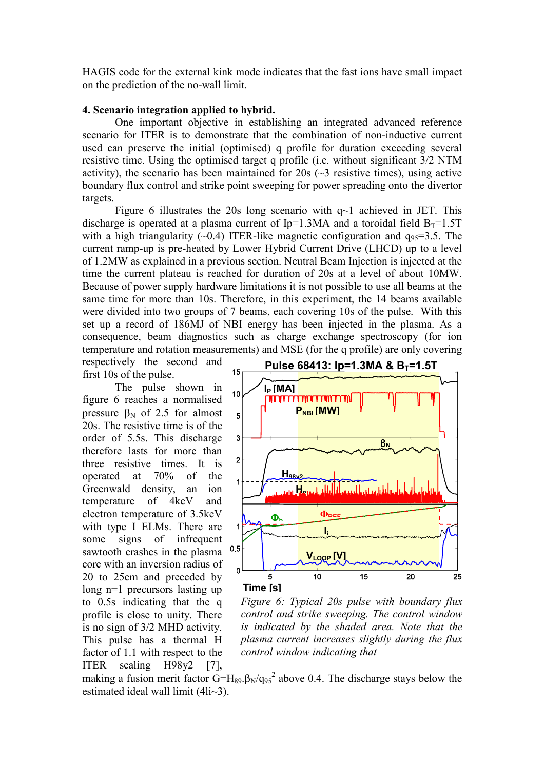HAGIS code for the external kink mode indicates that the fast ions have small impact on the prediction of the no-wall limit.

### 4. Scenario integration applied to hybrid.

One important objective in establishing an integrated advanced reference scenario for ITER is to demonstrate that the combination of non-inductive current used can preserve the initial (optimised) q profile for duration exceeding several resistive time. Using the optimised target q profile (i.e. without significant 3/2 NTM activity), the scenario has been maintained for  $20s \sim 3$  resistive times), using active boundary flux control and strike point sweeping for power spreading onto the divertor targets.

Figure 6 illustrates the 20s long scenario with  $q<sup>-1</sup>$  achieved in JET. This discharge is operated at a plasma current of Ip=1.3MA and a toroidal field  $B_T=1.5T$ with a high triangularity ( $\sim$ 0.4) ITER-like magnetic configuration and  $q_{95}=3.5$ . The current ramp-up is pre-heated by Lower Hybrid Current Drive (LHCD) up to a level of 1.2MW as explained in a previous section. Neutral Beam Injection is injected at the time the current plateau is reached for duration of 20s at a level of about 10MW. Because of power supply hardware limitations it is not possible to use all beams at the same time for more than 10s. Therefore, in this experiment, the 14 beams available were divided into two groups of 7 beams, each covering 10s of the pulse. With this set up a record of 186MJ of NBI energy has been injected in the plasma. As a consequence, beam diagnostics such as charge exchange spectroscopy (for ion temperature and rotation measurements) and MSE (for the q profile) are only covering

respectively the second and first 10s of the pulse.

The pulse shown in figure 6 reaches a normalised pressure  $β_N$  of 2.5 for almost 20s. The resistive time is of the order of 5.5s. This discharge therefore lasts for more than three resistive times. It is operated at 70% of the Greenwald density, an ion temperature of 4keV and electron temperature of 3.5keV with type I ELMs. There are some signs of infrequent sawtooth crashes in the plasma core with an inversion radius of 20 to 25cm and preceded by long n=1 precursors lasting up to 0.5s indicating that the q profile is close to unity. There is no sign of 3/2 MHD activity. This pulse has a thermal H factor of 1.1 with respect to the ITER scaling H98y2 [7],



Figure 6: Typical 20s pulse with boundary flux control and strike sweeping. The control window is indicated by the shaded area. Note that the plasma current increases slightly during the flux control window indicating that

making a fusion merit factor  $G=H_{89}.\beta_N/q_{95}^2$  above 0.4. The discharge stays below the estimated ideal wall limit (4li~3).